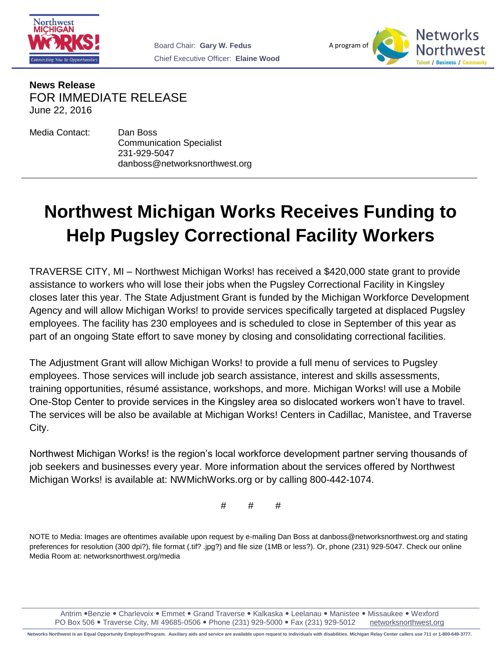



**News Release** FOR IMMEDIATE RELEASE June 22, 2016

Media Contact: Dan Boss

Communication Specialist 231-929-5047 danboss@networksnorthwest.org

## **Northwest Michigan Works Receives Funding to Help Pugsley Correctional Facility Workers**

TRAVERSE CITY, MI – Northwest Michigan Works! has received a \$420,000 state grant to provide assistance to workers who will lose their jobs when the Pugsley Correctional Facility in Kingsley closes later this year. The State Adjustment Grant is funded by the Michigan Workforce Development Agency and will allow Michigan Works! to provide services specifically targeted at displaced Pugsley employees. The facility has 230 employees and is scheduled to close in September of this year as part of an ongoing State effort to save money by closing and consolidating correctional facilities.

The Adjustment Grant will allow Michigan Works! to provide a full menu of services to Pugsley employees. Those services will include job search assistance, interest and skills assessments, training opportunities, résumé assistance, workshops, and more. Michigan Works! will use a Mobile One-Stop Center to provide services in the Kingsley area so dislocated workers won't have to travel. The services will be also be available at Michigan Works! Centers in Cadillac, Manistee, and Traverse City.

Northwest Michigan Works! is the region's local workforce development partner serving thousands of job seekers and businesses every year. More information about the services offered by Northwest Michigan Works! is available at: NWMichWorks.org or by calling 800-442-1074.

# # #

NOTE to Media: Images are oftentimes available upon request by e-mailing Dan Boss at danboss@networksnorthwest.org and stating preferences for resolution (300 dpi?), file format (.tif? .jpg?) and file size (1MB or less?). Or, phone (231) 929-5047. Check our online Media Room at: networksnorthwest.org/media

Antrim • Benzie • Charlevoix • Emmet • Grand Traverse • Kalkaska • Leelanau • Manistee • Missaukee • Wexford PO Box 506 . Traverse City, MI 49685-0506 . Phone (231) 929-5000 . Fax (231) 929-5012 [networksnorthwest.org](http://www.nwm.org/)